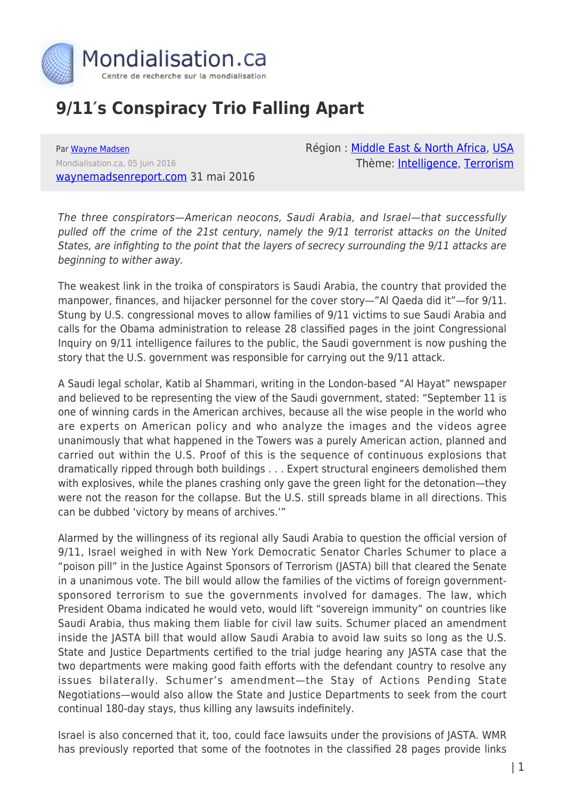

## **9/11′s Conspiracy Trio Falling Apart**

Par [Wayne Madsen](https://www.mondialisation.ca/author/wayne-madsen) Mondialisation.ca, 05 juin 2016 [waynemadsenreport.com](http://www.waynemadsenreport.com) 31 mai 2016 Région : [Middle East & North Africa,](https://www.mondialisation.ca/region/middle-east) [USA](https://www.mondialisation.ca/region/usa) Thème: [Intelligence](https://www.mondialisation.ca/theme/intelligence), [Terrorism](https://www.mondialisation.ca/theme/9-11-war-on-terrorism)

The three conspirators—American neocons, Saudi Arabia, and Israel—that successfully pulled off the crime of the 21st century, namely the 9/11 terrorist attacks on the United States, are infighting to the point that the layers of secrecy surrounding the 9/11 attacks are beginning to wither away.

The weakest link in the troika of conspirators is Saudi Arabia, the country that provided the manpower, finances, and hijacker personnel for the cover story—"Al Qaeda did it"—for 9/11. Stung by U.S. congressional moves to allow families of 9/11 victims to sue Saudi Arabia and calls for the Obama administration to release 28 classified pages in the joint Congressional Inquiry on 9/11 intelligence failures to the public, the Saudi government is now pushing the story that the U.S. government was responsible for carrying out the 9/11 attack.

A Saudi legal scholar, Katib al Shammari, writing in the London-based "Al Hayat" newspaper and believed to be representing the view of the Saudi government, stated: "September 11 is one of winning cards in the American archives, because all the wise people in the world who are experts on American policy and who analyze the images and the videos agree unanimously that what happened in the Towers was a purely American action, planned and carried out within the U.S. Proof of this is the sequence of continuous explosions that dramatically ripped through both buildings . . . Expert structural engineers demolished them with explosives, while the planes crashing only gave the green light for the detonation—they were not the reason for the collapse. But the U.S. still spreads blame in all directions. This can be dubbed 'victory by means of archives.'"

Alarmed by the willingness of its regional ally Saudi Arabia to question the official version of 9/11, Israel weighed in with New York Democratic Senator Charles Schumer to place a "poison pill" in the Justice Against Sponsors of Terrorism (JASTA) bill that cleared the Senate in a unanimous vote. The bill would allow the families of the victims of foreign governmentsponsored terrorism to sue the governments involved for damages. The law, which President Obama indicated he would veto, would lift "sovereign immunity" on countries like Saudi Arabia, thus making them liable for civil law suits. Schumer placed an amendment inside the JASTA bill that would allow Saudi Arabia to avoid law suits so long as the U.S. State and Justice Departments certified to the trial judge hearing any JASTA case that the two departments were making good faith efforts with the defendant country to resolve any issues bilaterally. Schumer's amendment—the Stay of Actions Pending State Negotiations—would also allow the State and Justice Departments to seek from the court continual 180-day stays, thus killing any lawsuits indefinitely.

Israel is also concerned that it, too, could face lawsuits under the provisions of JASTA. WMR has previously reported that some of the footnotes in the classified 28 pages provide links